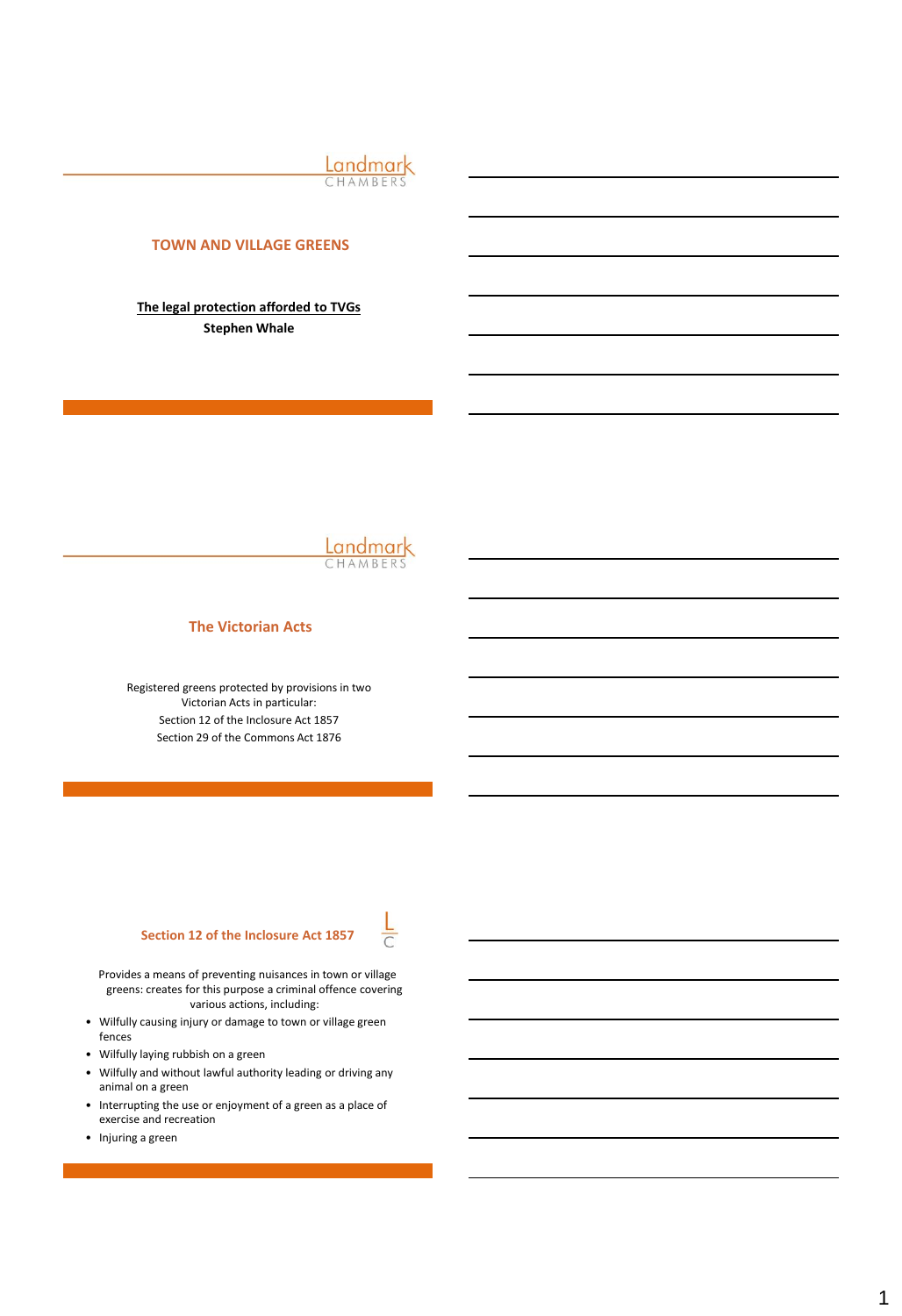Landmark

# **TOWN AND VILLAGE GREENS**

**The legal protection afforded to TVGs Stephen Whale** 



#### **The Victorian Acts**

Registered greens protected by provisions in two Victorian Acts in particular: Section 12 of the Inclosure Act 1857 Section 29 of the Commons Act 1876

### **Section 12 of the Inclosure Act 1857**

 $\frac{L}{C}$ 

Provides a means of preventing nuisances in town or village greens: creates for this purpose a criminal offence covering various actions, including:

- Wilfully causing injury or damage to town or village green fences
- Wilfully laying rubbish on a green
- Wilfully and without lawful authority leading or driving any animal on a green
- Interrupting the use or enjoyment of a green as a place of exercise and recreation
- Injuring a green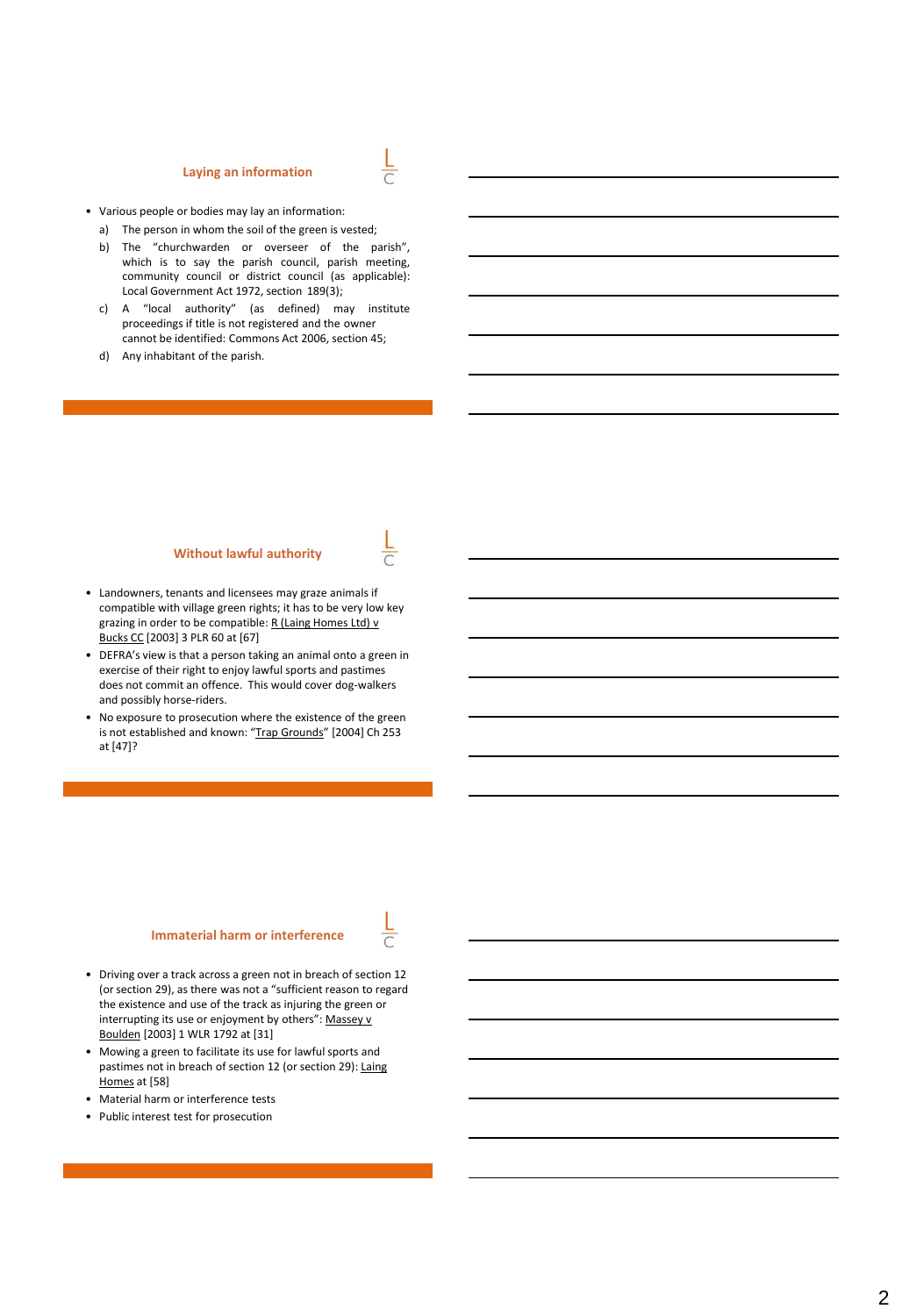#### **Laying an information**



- Various people or bodies may lay an information:
	- a) The person in whom the soil of the green is vested;
	- b) The "churchwarden or overseer of the parish", which is to say the parish council, parish meeting, community council or district council (as applicable): Local Government Act 1972, section 189(3);
	- c) A "local authority" (as defined) may institute proceedings if title is not registered and the owner cannot be identified: Commons Act 2006, section 45;
	- d) Any inhabitant of the parish.

#### **Without lawful authority**

- Landowners, tenants and licensees may graze animals if compatible with village green rights; it has to be very low key grazing in order to be compatible: R (Laing Homes Ltd) v Bucks CC [2003] 3 PLR 60 at [67]
- DEFRA's view is that a person taking an animal onto a green in exercise of their right to enjoy lawful sports and pastimes does not commit an offence. This would cover dog-walkers and possibly horse-riders.
- No exposure to prosecution where the existence of the green is not established and known: "Trap Grounds" [2004] Ch 253 at [47]?

#### **Immaterial harm or interference**

- Driving over a track across a green not in breach of section 12 (or section 29), as there was not a "sufficient reason to regard the existence and use of the track as injuring the green or interrupting its use or enjoyment by others": Massey v Boulden [2003] 1 WLR 1792 at [31]
- Mowing a green to facilitate its use for lawful sports and pastimes not in breach of section 12 (or section 29): Laing Homes at [58]
- Material harm or interference tests
- Public interest test for prosecution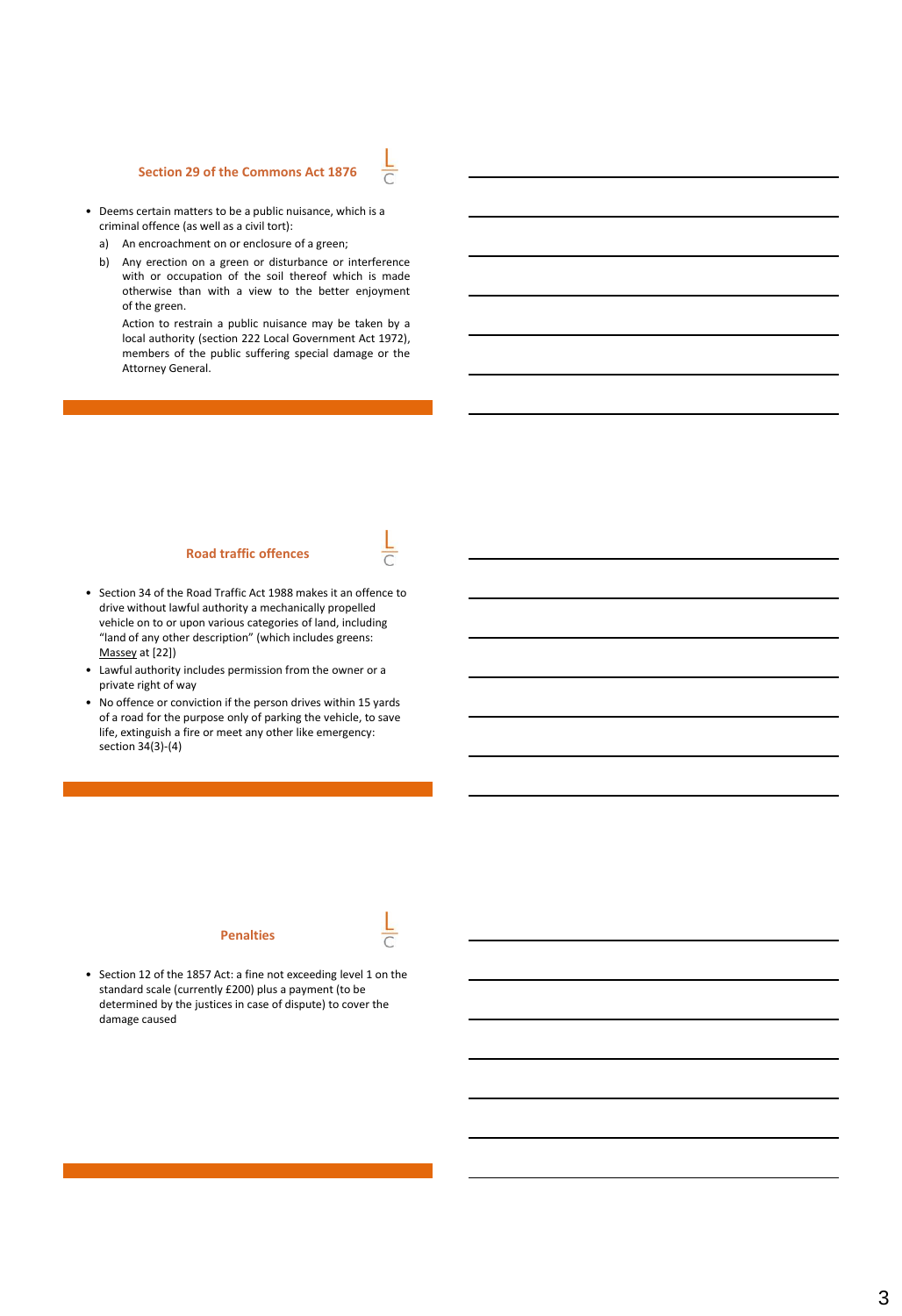## **Section 29 of the Commons Act 1876**



- Deems certain matters to be a public nuisance, which is a criminal offence (as well as a civil tort):
	- a) An encroachment on or enclosure of a green;
	- b) Any erection on a green or disturbance or interference with or occupation of the soil thereof which is made otherwise than with a view to the better enjoyment of the green.

Action to restrain a public nuisance may be taken by a local authority (section 222 Local Government Act 1972), members of the public suffering special damage or the Attorney General.

#### **Road traffic offences**

- Section 34 of the Road Traffic Act 1988 makes it an offence to drive without lawful authority a mechanically propelled vehicle on to or upon various categories of land, including "land of any other description" (which includes greens: Massey at [22])
- Lawful authority includes permission from the owner or a private right of way
- No offence or conviction if the person drives within 15 yards of a road for the purpose only of parking the vehicle, to save life, extinguish a fire or meet any other like emergency: section 34(3)-(4)

## **Penalties**



• Section 12 of the 1857 Act: a fine not exceeding level 1 on the standard scale (currently £200) plus a payment (to be determined by the justices in case of dispute) to cover the damage caused